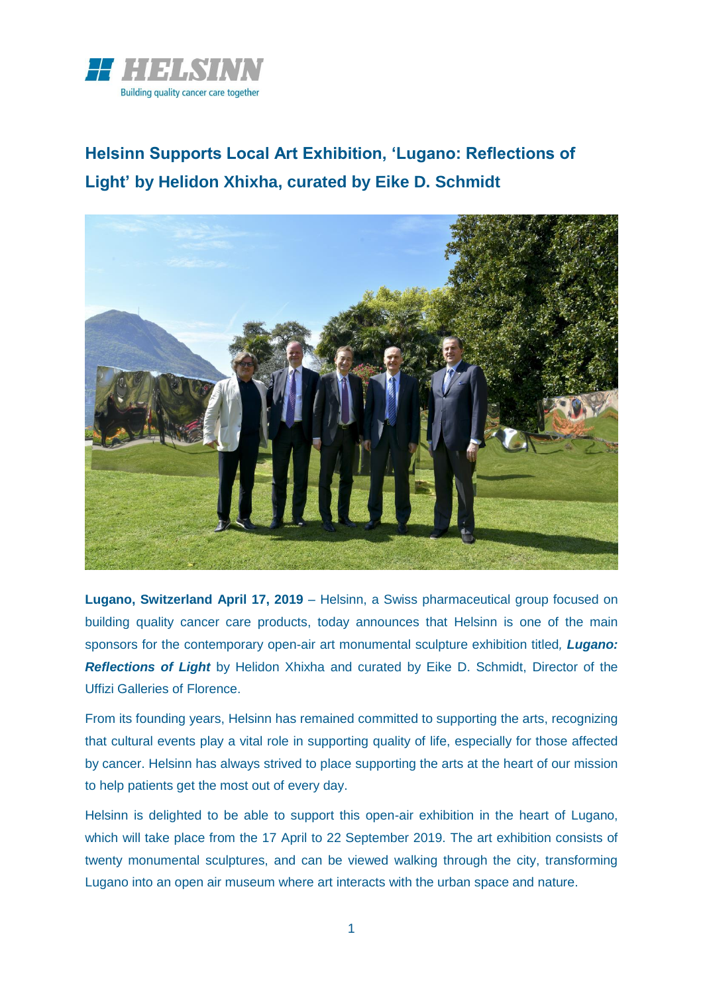

**Helsinn Supports Local Art Exhibition, 'Lugano: Reflections of Light' by Helidon Xhixha, curated by Eike D. Schmidt**



**Lugano, Switzerland April 17, 2019** – Helsinn, a Swiss pharmaceutical group focused on building quality cancer care products, today announces that Helsinn is one of the main sponsors for the contemporary open-air art monumental sculpture exhibition titled*, Lugano: Reflections of Light* by Helidon Xhixha and curated by Eike D. Schmidt, Director of the Uffizi Galleries of Florence.

From its founding years, Helsinn has remained committed to supporting the arts, recognizing that cultural events play a vital role in supporting quality of life, especially for those affected by cancer. Helsinn has always strived to place supporting the arts at the heart of our mission to help patients get the most out of every day.

Helsinn is delighted to be able to support this open-air exhibition in the heart of Lugano, which will take place from the 17 April to 22 September 2019. The art exhibition consists of twenty monumental sculptures, and can be viewed walking through the city, transforming Lugano into an open air museum where art interacts with the urban space and nature.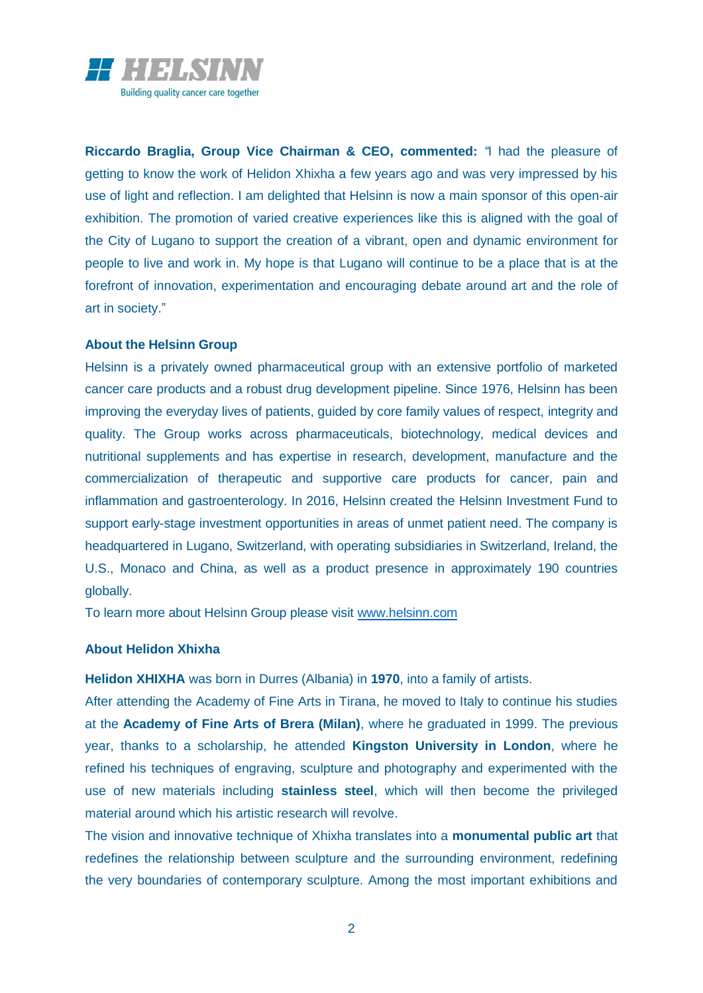

**Riccardo Braglia, Group Vice Chairman & CEO, commented:** *"*I had the pleasure of getting to know the work of Helidon Xhixha a few years ago and was very impressed by his use of light and reflection. I am delighted that Helsinn is now a main sponsor of this open-air exhibition. The promotion of varied creative experiences like this is aligned with the goal of the City of Lugano to support the creation of a vibrant, open and dynamic environment for people to live and work in. My hope is that Lugano will continue to be a place that is at the forefront of innovation, experimentation and encouraging debate around art and the role of art in society."

#### **About the Helsinn Group**

Helsinn is a privately owned pharmaceutical group with an extensive portfolio of marketed cancer care products and a robust drug development pipeline. Since 1976, Helsinn has been improving the everyday lives of patients, guided by core family values of respect, integrity and quality. The Group works across pharmaceuticals, biotechnology, medical devices and nutritional supplements and has expertise in research, development, manufacture and the commercialization of therapeutic and supportive care products for cancer, pain and inflammation and gastroenterology. In 2016, Helsinn created the Helsinn Investment Fund to support early-stage investment opportunities in areas of unmet patient need. The company is headquartered in Lugano, Switzerland, with operating subsidiaries in Switzerland, Ireland, the U.S., Monaco and China, as well as a product presence in approximately 190 countries globally.

To learn more about Helsinn Group please visit [www.helsinn.com](http://www.helsinn.com/)

#### **About Helidon Xhixha**

**Helidon XHIXHA** was born in Durres (Albania) in **1970**, into a family of artists.

After attending the Academy of Fine Arts in Tirana, he moved to Italy to continue his studies at the **Academy of Fine Arts of Brera (Milan)**, where he graduated in 1999. The previous year, thanks to a scholarship, he attended **Kingston University in London**, where he refined his techniques of engraving, sculpture and photography and experimented with the use of new materials including **stainless steel**, which will then become the privileged material around which his artistic research will revolve.

The vision and innovative technique of Xhixha translates into a **monumental public art** that redefines the relationship between sculpture and the surrounding environment, redefining the very boundaries of contemporary sculpture. Among the most important exhibitions and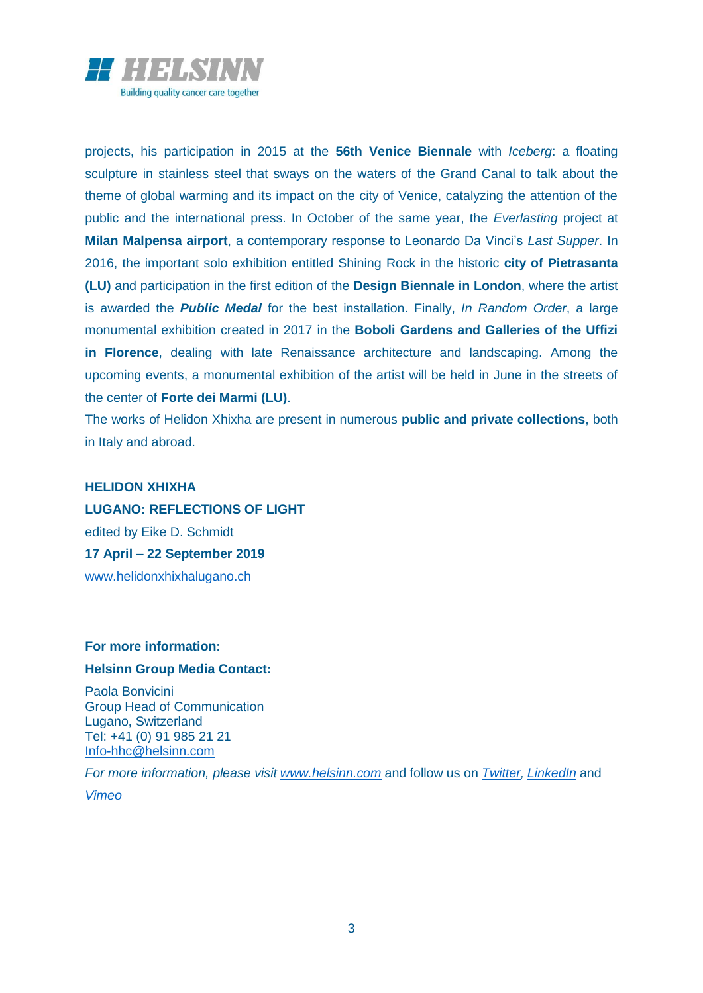

projects, his participation in 2015 at the **56th Venice Biennale** with *Iceberg*: a floating sculpture in stainless steel that sways on the waters of the Grand Canal to talk about the theme of global warming and its impact on the city of Venice, catalyzing the attention of the public and the international press. In October of the same year, the *Everlasting* project at **Milan Malpensa airport**, a contemporary response to Leonardo Da Vinci's *Last Supper*. In 2016, the important solo exhibition entitled Shining Rock in the historic **city of Pietrasanta (LU)** and participation in the first edition of the **Design Biennale in London**, where the artist is awarded the *Public Medal* for the best installation. Finally, *In Random Order*, a large monumental exhibition created in 2017 in the **Boboli Gardens and Galleries of the Uffizi in Florence**, dealing with late Renaissance architecture and landscaping. Among the upcoming events, a monumental exhibition of the artist will be held in June in the streets of the center of **Forte dei Marmi (LU)**.

The works of Helidon Xhixha are present in numerous **public and private collections**, both in Italy and abroad.

# **HELIDON XHIXHA LUGANO: REFLECTIONS OF LIGHT** edited by Eike D. Schmidt **17 April – 22 September 2019** [www.helidonxhixhalugano.ch](http://www.helidonxhixhalugano.ch/)

# **For more information:**

## **Helsinn Group Media Contact:**

Paola Bonvicini Group Head of Communication Lugano, Switzerland Tel: +41 (0) 91 985 21 21 [Info-hhc@helsinn.com](mailto:Info-hhc@helsinn.com)

*For more information, please visit [www.helsinn.com](http://www.helsinn.com/)* and follow us on *[Twitter](https://twitter.com/HelsinnGroup), [LinkedIn](https://www.linkedin.com/company/101863/)* and *[Vimeo](https://vimeo.com/helsinn)*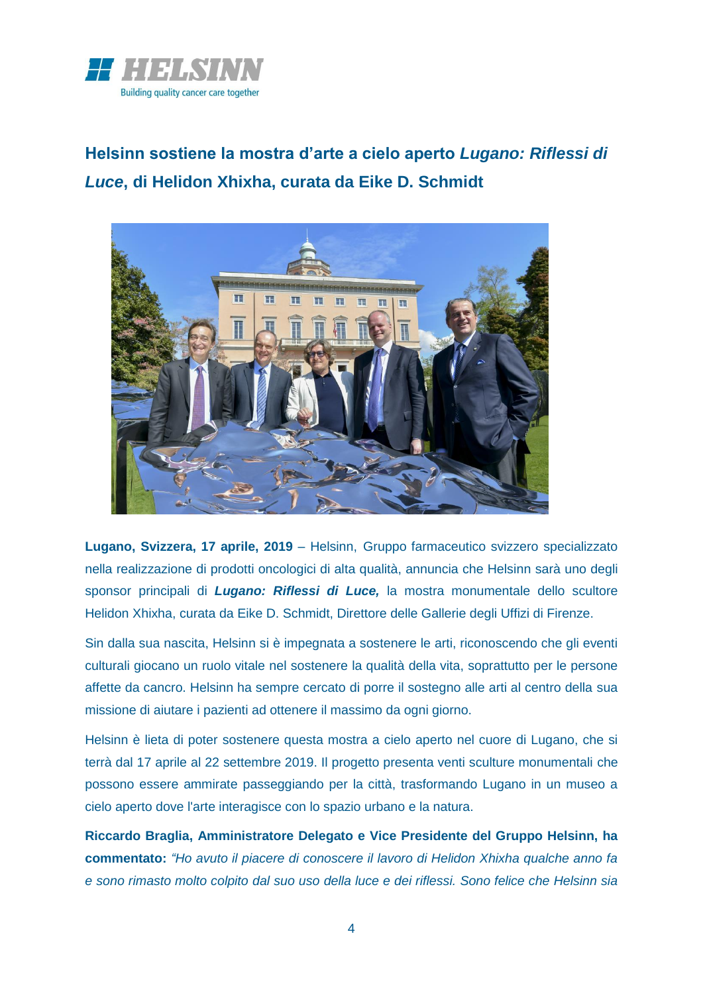

**Helsinn sostiene la mostra d'arte a cielo aperto** *Lugano: Riflessi di Luce***, di Helidon Xhixha, curata da Eike D. Schmidt**



**Lugano, Svizzera, 17 aprile, 2019** – Helsinn, Gruppo farmaceutico svizzero specializzato nella realizzazione di prodotti oncologici di alta qualità, annuncia che Helsinn sarà uno degli sponsor principali di *Lugano: Riflessi di Luce,* la mostra monumentale dello scultore Helidon Xhixha, curata da Eike D. Schmidt, Direttore delle Gallerie degli Uffizi di Firenze.

Sin dalla sua nascita, Helsinn si è impegnata a sostenere le arti, riconoscendo che gli eventi culturali giocano un ruolo vitale nel sostenere la qualità della vita, soprattutto per le persone affette da cancro. Helsinn ha sempre cercato di porre il sostegno alle arti al centro della sua missione di aiutare i pazienti ad ottenere il massimo da ogni giorno.

Helsinn è lieta di poter sostenere questa mostra a cielo aperto nel cuore di Lugano, che si terrà dal 17 aprile al 22 settembre 2019. Il progetto presenta venti sculture monumentali che possono essere ammirate passeggiando per la città, trasformando Lugano in un museo a cielo aperto dove l'arte interagisce con lo spazio urbano e la natura.

**Riccardo Braglia, Amministratore Delegato e Vice Presidente del Gruppo Helsinn, ha commentato:** *"Ho avuto il piacere di conoscere il lavoro di Helidon Xhixha qualche anno fa e sono rimasto molto colpito dal suo uso della luce e dei riflessi. Sono felice che Helsinn sia*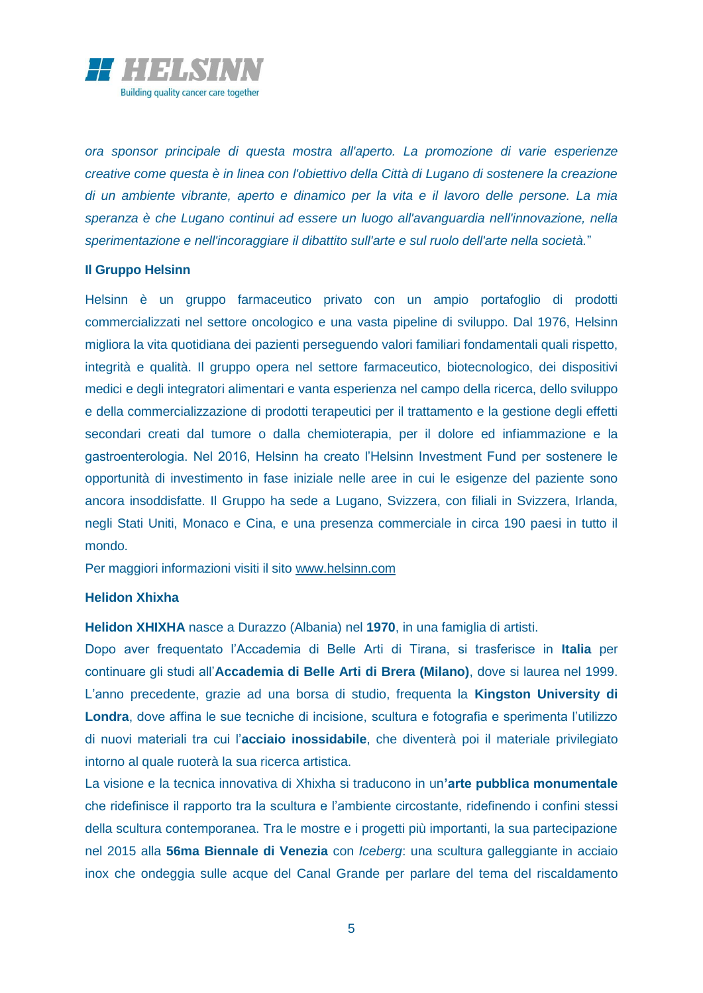

*ora sponsor principale di questa mostra all'aperto. La promozione di varie esperienze creative come questa è in linea con l'obiettivo della Città di Lugano di sostenere la creazione di un ambiente vibrante, aperto e dinamico per la vita e il lavoro delle persone. La mia speranza è che Lugano continui ad essere un luogo all'avanguardia nell'innovazione, nella sperimentazione e nell'incoraggiare il dibattito sull'arte e sul ruolo dell'arte nella società.*"

## **Il Gruppo Helsinn**

Helsinn è un gruppo farmaceutico privato con un ampio portafoglio di prodotti commercializzati nel settore oncologico e una vasta pipeline di sviluppo. Dal 1976, Helsinn migliora la vita quotidiana dei pazienti perseguendo valori familiari fondamentali quali rispetto, integrità e qualità. Il gruppo opera nel settore farmaceutico, biotecnologico, dei dispositivi medici e degli integratori alimentari e vanta esperienza nel campo della ricerca, dello sviluppo e della commercializzazione di prodotti terapeutici per il trattamento e la gestione degli effetti secondari creati dal tumore o dalla chemioterapia, per il dolore ed infiammazione e la gastroenterologia. Nel 2016, Helsinn ha creato l'Helsinn Investment Fund per sostenere le opportunità di investimento in fase iniziale nelle aree in cui le esigenze del paziente sono ancora insoddisfatte. Il Gruppo ha sede a Lugano, Svizzera, con filiali in Svizzera, Irlanda, negli Stati Uniti, Monaco e Cina, e una presenza commerciale in circa 190 paesi in tutto il mondo.

Per maggiori informazioni visiti il sito [www.helsinn.com](http://www.helsinn.com/)

#### **Helidon Xhixha**

**Helidon XHIXHA** nasce a Durazzo (Albania) nel **1970**, in una famiglia di artisti.

Dopo aver frequentato l'Accademia di Belle Arti di Tirana, si trasferisce in **Italia** per continuare gli studi all'**Accademia di Belle Arti di Brera (Milano)**, dove si laurea nel 1999. L'anno precedente, grazie ad una borsa di studio, frequenta la **Kingston University di Londra**, dove affina le sue tecniche di incisione, scultura e fotografia e sperimenta l'utilizzo di nuovi materiali tra cui l'**acciaio inossidabile**, che diventerà poi il materiale privilegiato intorno al quale ruoterà la sua ricerca artistica.

La visione e la tecnica innovativa di Xhixha si traducono in un**'arte pubblica monumentale**  che ridefinisce il rapporto tra la scultura e l'ambiente circostante, ridefinendo i confini stessi della scultura contemporanea. Tra le mostre e i progetti più importanti, la sua partecipazione nel 2015 alla **56ma Biennale di Venezia** con *Iceberg*: una scultura galleggiante in acciaio inox che ondeggia sulle acque del Canal Grande per parlare del tema del riscaldamento